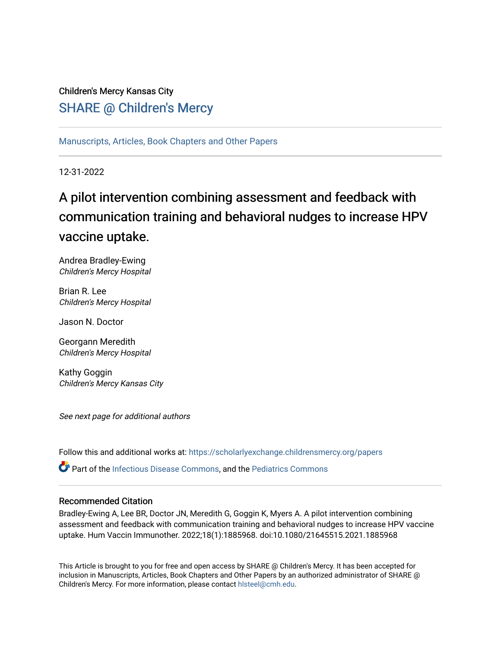# Children's Mercy Kansas City SHARE @ Children's Mercy

[Manuscripts, Articles, Book Chapters and Other Papers](https://scholarlyexchange.childrensmercy.org/papers)

12-31-2022

# A pilot intervention combining assessment and feedback with communication training and behavioral nudges to increase HPV vaccine uptake.

Andrea Bradley-Ewing Children's Mercy Hospital

Brian R. Lee Children's Mercy Hospital

Jason N. Doctor

Georgann Meredith Children's Mercy Hospital

Kathy Goggin Children's Mercy Kansas City

See next page for additional authors

Follow this and additional works at: [https://scholarlyexchange.childrensmercy.org/papers](https://scholarlyexchange.childrensmercy.org/papers?utm_source=scholarlyexchange.childrensmercy.org%2Fpapers%2F4342&utm_medium=PDF&utm_campaign=PDFCoverPages) 

 $\bullet$  Part of the [Infectious Disease Commons,](http://network.bepress.com/hgg/discipline/689?utm_source=scholarlyexchange.childrensmercy.org%2Fpapers%2F4342&utm_medium=PDF&utm_campaign=PDFCoverPages) and the Pediatrics Commons

# Recommended Citation

Bradley-Ewing A, Lee BR, Doctor JN, Meredith G, Goggin K, Myers A. A pilot intervention combining assessment and feedback with communication training and behavioral nudges to increase HPV vaccine uptake. Hum Vaccin Immunother. 2022;18(1):1885968. doi:10.1080/21645515.2021.1885968

This Article is brought to you for free and open access by SHARE @ Children's Mercy. It has been accepted for inclusion in Manuscripts, Articles, Book Chapters and Other Papers by an authorized administrator of SHARE @ Children's Mercy. For more information, please contact [hlsteel@cmh.edu](mailto:hlsteel@cmh.edu).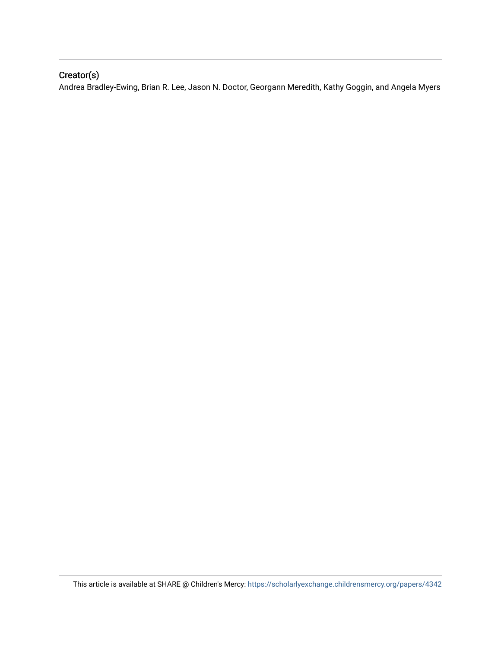# Creator(s)

Andrea Bradley-Ewing, Brian R. Lee, Jason N. Doctor, Georgann Meredith, Kathy Goggin, and Angela Myers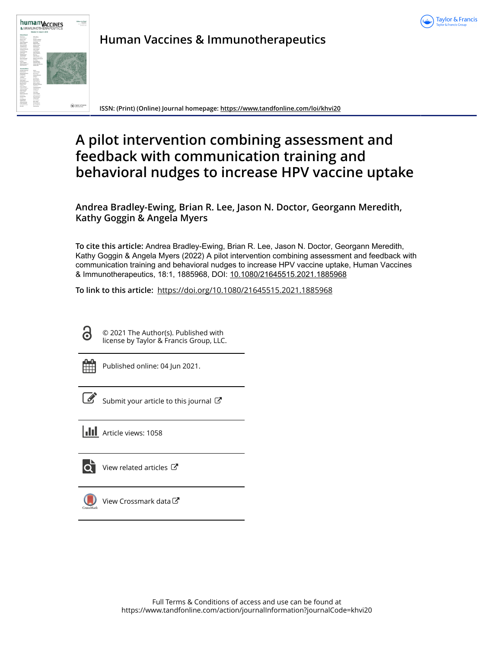



**Human Vaccines & Immunotherapeutics**

**ISSN: (Print) (Online) Journal homepage:<https://www.tandfonline.com/loi/khvi20>**

# **A pilot intervention combining assessment and feedback with communication training and behavioral nudges to increase HPV vaccine uptake**

**Andrea Bradley-Ewing, Brian R. Lee, Jason N. Doctor, Georgann Meredith, Kathy Goggin & Angela Myers**

**To cite this article:** Andrea Bradley-Ewing, Brian R. Lee, Jason N. Doctor, Georgann Meredith, Kathy Goggin & Angela Myers (2022) A pilot intervention combining assessment and feedback with communication training and behavioral nudges to increase HPV vaccine uptake, Human Vaccines & Immunotherapeutics, 18:1, 1885968, DOI: [10.1080/21645515.2021.1885968](https://www.tandfonline.com/action/showCitFormats?doi=10.1080/21645515.2021.1885968)

**To link to this article:** <https://doi.org/10.1080/21645515.2021.1885968>

ര

© 2021 The Author(s). Published with license by Taylor & Francis Group, LLC.

Published online: 04 Jun 2021.

| ł<br>۰. |
|---------|
|         |

[Submit your article to this journal](https://www.tandfonline.com/action/authorSubmission?journalCode=khvi20&show=instructions)  $\mathbb{Z}$ 

**III** Article views: 1058



[View related articles](https://www.tandfonline.com/doi/mlt/10.1080/21645515.2021.1885968)  $\mathbb{Z}$ 



[View Crossmark data](http://crossmark.crossref.org/dialog/?doi=10.1080/21645515.2021.1885968&domain=pdf&date_stamp=2021-06-04)  $\mathbb{Z}$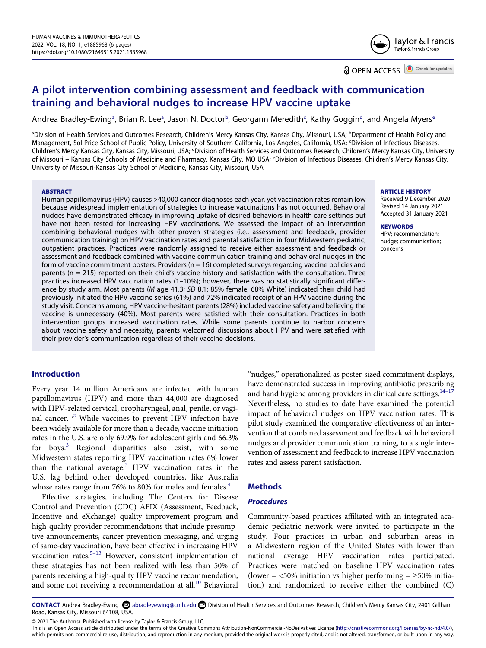

**a** OPEN ACCESS **a** Check for updates

# **A pilot intervention combining assessment and feedback with communication training and behavioral nudges to increase HPV vaccine uptake**

Andre[a](#page-3-0) Bradley-Ewing<sup>a</sup>, Brian R. Lee<sup>a</sup>, Jason N. Do[c](#page-3-1)tor<sup>b</sup>, Georgann Mere[d](#page-3-2)ith<sup>c</sup>, Kathy Goggin<sup>d</sup>, and Angela Myers<sup>e</sup>

<span id="page-3-3"></span><span id="page-3-2"></span><span id="page-3-1"></span><span id="page-3-0"></span><sup>a</sup>Division of Health Services and Outcomes Research, Children's Mercy Kansas City, Kansas City, Missouri, USA; <sup>b</sup>Department of Health Policy and Management, Sol Price School of Public Policy, University of Southern California, Los Angeles, California, USA; <sup>c</sup>Division of Infectious Diseases, Children's Mercy Kansas City, Kansas City, Missouri, USA; <sup>d</sup>Division of Health Services and Outcomes Research, Children's Mercy Kansas City, University of Missouri – Kansas City Schools of Medicine and Pharmacy, Kansas City, MO USA; <sup>e</sup>Division of Infectious Diseases, Children's Mercy Kansas City, University of Missouri-Kansas City School of Medicine, Kansas City, Missouri, USA

#### **ABSTRACT**

Human papillomavirus (HPV) causes >40,000 cancer diagnoses each year, yet vaccination rates remain low because widespread implementation of strategies to increase vaccinations has not occurred. Behavioral nudges have demonstrated efficacy in improving uptake of desired behaviors in health care settings but have not been tested for increasing HPV vaccinations. We assessed the impact of an intervention combining behavioral nudges with other proven strategies (i.e., assessment and feedback, provider communication training) on HPV vaccination rates and parental satisfaction in four Midwestern pediatric, outpatient practices. Practices were randomly assigned to receive either assessment and feedback or assessment and feedback combined with vaccine communication training and behavioral nudges in the form of vaccine commitment posters. Providers (n = 16) completed surveys regarding vaccine policies and parents (n = 215) reported on their child's vaccine history and satisfaction with the consultation. Three practices increased HPV vaccination rates (1–10%); however, there was no statistically significant difference by study arm. Most parents (*M* age 41.3; *SD* 8.1; 85% female, 68% White) indicated their child had previously initiated the HPV vaccine series (61%) and 72% indicated receipt of an HPV vaccine during the study visit. Concerns among HPV vaccine-hesitant parents (28%) included vaccine safety and believing the vaccine is unnecessary (40%). Most parents were satisfied with their consultation. Practices in both intervention groups increased vaccination rates. While some parents continue to harbor concerns about vaccine safety and necessity, parents welcomed discussions about HPV and were satisfied with their provider's communication regardless of their vaccine decisions.

# **Introduction**

<span id="page-3-4"></span>Every year 14 million Americans are infected with human papillomavirus (HPV) and more than 44,000 are diagnosed with HPV-related cervical, oropharyngeal, anal, penile, or vagi-nal cancer.<sup>[1](#page-7-0),2</sup> While vaccines to prevent HPV infection have been widely available for more than a decade, vaccine initiation rates in the U.S. are only 69.9% for adolescent girls and 66.3% for boys.<sup>[3](#page-7-2)</sup> Regional disparities also exist, with some Midwestern states reporting HPV vaccination rates 6% lower than the national average. $3$  HPV vaccination rates in the U.S. lag behind other developed countries, like Australia whose rates range from 76% to 80% for males and females. $4$ 

<span id="page-3-6"></span><span id="page-3-5"></span>Effective strategies, including The Centers for Disease Control and Prevention (CDC) AFIX (Assessment, Feedback, Incentive and eXchange) quality improvement program and high-quality provider recommendations that include presumptive announcements, cancer prevention messaging, and urging of same-day vaccination, have been effective in increasing HPV vaccination rates.<sup>5-13</sup> However, consistent implementation of these strategies has not been realized with less than 50% of parents receiving a high-quality HPV vaccine recommendation, and some not receiving a recommendation at all.<sup>10</sup> Behavioral

<span id="page-3-9"></span>"nudges," operationalized as poster-sized commitment displays, have demonstrated success in improving antibiotic prescribing and hand hygiene among providers in clinical care settings. $14-17$ Nevertheless, no studies to date have examined the potential impact of behavioral nudges on HPV vaccination rates. This pilot study examined the comparative effectiveness of an intervention that combined assessment and feedback with behavioral nudges and provider communication training, to a single intervention of assessment and feedback to increase HPV vaccination rates and assess parent satisfaction.

#### **Methods**

#### *Procedures*

Community-based practices affiliated with an integrated academic pediatric network were invited to participate in the study. Four practices in urban and suburban areas in a Midwestern region of the United States with lower than national average HPV vaccination rates participated. Practices were matched on baseline HPV vaccination rates (lower =  $<50\%$  initiation vs higher performing =  $\geq50\%$  initiation) and randomized to receive either the combined (C)

<span id="page-3-8"></span><span id="page-3-7"></span>CONTACT Andrea Bradley-Ewing **©** abradleyewing@cmh.edu **D** Division of Health Services and Outcomes Research, Children's Mercy Kansas City, 2401 Gillham Road, Kansas City, Missouri 64108, USA.

© 2021 The Author(s). Published with license by Taylor & Francis Group, LLC.

This is an Open Access article distributed under the terms of the Creative Commons Attribution-NonCommercial-NoDerivatives License (http://creativecommons.org/licenses/by-nc-nd/4.0/), which permits non-commercial re-use, distribution, and reproduction in any medium, provided the original work is properly cited, and is not altered, transformed, or built upon in any way.

#### **ARTICLE HISTORY**

Received 9 December 2020 Revised 14 January 2021 Accepted 31 January 2021

#### **KEYWORDS**

HPV; recommendation; nudge; communication; concerns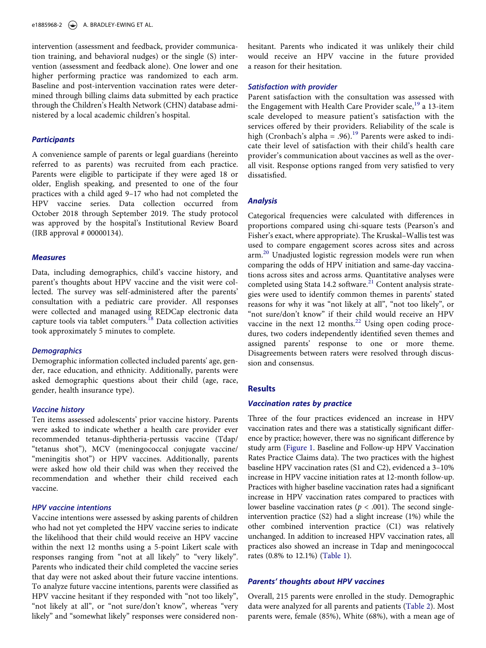e1885968-2  $\Rightarrow$  A. BRADLEY-EWING ET AL.

intervention (assessment and feedback, provider communication training, and behavioral nudges) or the single (S) intervention (assessment and feedback alone). One lower and one higher performing practice was randomized to each arm. Baseline and post-intervention vaccination rates were determined through billing claims data submitted by each practice through the Children's Health Network (CHN) database administered by a local academic children's hospital.

# *Participants*

A convenience sample of parents or legal guardians (hereinto referred to as parents) was recruited from each practice. Parents were eligible to participate if they were aged 18 or older, English speaking, and presented to one of the four practices with a child aged 9–17 who had not completed the HPV vaccine series. Data collection occurred from October 2018 through September 2019. The study protocol was approved by the hospital's Institutional Review Board (IRB approval # 00000134).

#### *Measures*

Data, including demographics, child's vaccine history, and parent's thoughts about HPV vaccine and the visit were collected. The survey was self-administered after the parents' consultation with a pediatric care provider. All responses were collected and managed using REDCap electronic data capture tools via tablet computers.<sup>18</sup> Data collection activities took approximately 5 minutes to complete.

# <span id="page-4-0"></span>*Demographics*

Demographic information collected included parents' age, gender, race education, and ethnicity. Additionally, parents were asked demographic questions about their child (age, race, gender, health insurance type).

### *Vaccine history*

Ten items assessed adolescents' prior vaccine history. Parents were asked to indicate whether a health care provider ever recommended tetanus-diphtheria-pertussis vaccine (Tdap/ "tetanus shot"), MCV (meningococcal conjugate vaccine/ "meningitis shot") or HPV vaccines. Additionally, parents were asked how old their child was when they received the recommendation and whether their child received each vaccine.

# *HPV vaccine intentions*

Vaccine intentions were assessed by asking parents of children who had not yet completed the HPV vaccine series to indicate the likelihood that their child would receive an HPV vaccine within the next 12 months using a 5-point Likert scale with responses ranging from "not at all likely" to "very likely". Parents who indicated their child completed the vaccine series that day were not asked about their future vaccine intentions. To analyze future vaccine intentions, parents were classified as HPV vaccine hesitant if they responded with "not too likely", "not likely at all", or "not sure/don't know", whereas "very likely" and "somewhat likely" responses were considered nonhesitant. Parents who indicated it was unlikely their child would receive an HPV vaccine in the future provided a reason for their hesitation.

#### *Satisfaction with provider*

<span id="page-4-1"></span>Parent satisfaction with the consultation was assessed with the Engagement with Health Care Provider scale,<sup>[19](#page-8-4)</sup> a 13-item scale developed to measure patient's satisfaction with the services offered by their providers. Reliability of the scale is high (Cronbach's alpha = .96).<sup>19</sup> Parents were asked to indicate their level of satisfaction with their child's health care provider's communication about vaccines as well as the overall visit. Response options ranged from very satisfied to very dissatisfied.

# *Analysis*

<span id="page-4-3"></span><span id="page-4-2"></span>Categorical frequencies were calculated with differences in proportions compared using chi-square tests (Pearson's and Fisher's exact, where appropriate). The Kruskal–Wallis test was used to compare engagement scores across sites and across arm.<sup>20</sup> Unadjusted logistic regression models were run when comparing the odds of HPV initiation and same-day vaccinations across sites and across arms. Quantitative analyses were completed using Stata 14.2 software.<sup>[21](#page-8-6)</sup> Content analysis strategies were used to identify common themes in parents' stated reasons for why it was "not likely at all", "not too likely", or "not sure/don't know" if their child would receive an HPV vaccine in the next  $12$  months.<sup>[22](#page-8-7)</sup> Using open coding procedures, two coders independently identified seven themes and assigned parents' response to one or more theme. Disagreements between raters were resolved through discussion and consensus.

#### <span id="page-4-4"></span>**Results**

#### *Vaccination rates by practice*

Three of the four practices evidenced an increase in HPV vaccination rates and there was a statistically significant difference by practice; however, there was no significant difference by study arm ([Figure 1.](#page-5-0) Baseline and Follow-up HPV Vaccination Rates Practice Claims data). The two practices with the highest baseline HPV vaccination rates (S1 and C2), evidenced a 3–10% increase in HPV vaccine initiation rates at 12-month follow-up. Practices with higher baseline vaccination rates had a significant increase in HPV vaccination rates compared to practices with lower baseline vaccination rates ( $p < .001$ ). The second singleintervention practice (S2) had a slight increase (1%) while the other combined intervention practice (C1) was relatively unchanged. In addition to increased HPV vaccination rates, all practices also showed an increase in Tdap and meningococcal rates (0.8% to 12.1%) [\(Table 1](#page-5-1)).

### *Parents' thoughts about HPV vaccines*

Overall, 215 parents were enrolled in the study. Demographic data were analyzed for all parents and patients [\(Table 2\)](#page-5-2). Most parents were, female (85%), White (68%), with a mean age of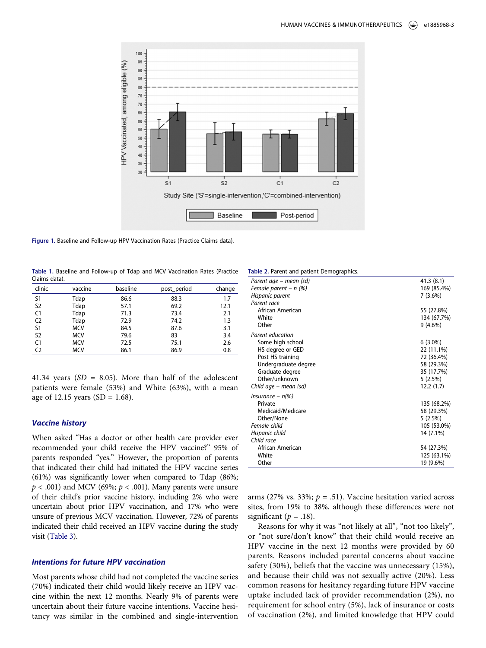<span id="page-5-0"></span>

Figure 1. Baseline and Follow-up HPV Vaccination Rates (Practice Claims data).

<span id="page-5-1"></span>**Table 1.** Baseline and Follow-up of Tdap and MCV Vaccination Rates (Practice Claims data).

| clinic         | vaccine    | baseline | post_period | change |
|----------------|------------|----------|-------------|--------|
| S <sub>1</sub> | Tdap       | 86.6     | 88.3        | 1.7    |
| S <sub>2</sub> | Tdap       | 57.1     | 69.2        | 12.1   |
| C1             | Tdap       | 71.3     | 73.4        | 2.1    |
| C <sub>2</sub> | Tdap       | 72.9     | 74.2        | 1.3    |
| S1             | <b>MCV</b> | 84.5     | 87.6        | 3.1    |
| S <sub>2</sub> | <b>MCV</b> | 79.6     | 83          | 3.4    |
| C1             | <b>MCV</b> | 72.5     | 75.1        | 2.6    |
| C <sub>2</sub> | MCV        | 86.1     | 86.9        | 0.8    |

41.34 years (*SD* = 8.05). More than half of the adolescent patients were female (53%) and White (63%), with a mean age of 12.15 years (SD =  $1.68$ ).

# *Vaccine history*

When asked "Has a doctor or other health care provider ever recommended your child receive the HPV vaccine?" 95% of parents responded "yes." However, the proportion of parents that indicated their child had initiated the HPV vaccine series (61%) was significantly lower when compared to Tdap (86%;  $p < .001$ ) and MCV (69%;  $p < .001$ ). Many parents were unsure of their child's prior vaccine history, including 2% who were uncertain about prior HPV vaccination, and 17% who were unsure of previous MCV vaccination. However, 72% of parents indicated their child received an HPV vaccine during the study visit ([Table 3](#page-6-0)).

# *Intentions for future HPV vaccination*

Most parents whose child had not completed the vaccine series (70%) indicated their child would likely receive an HPV vaccine within the next 12 months. Nearly 9% of parents were uncertain about their future vaccine intentions. Vaccine hesitancy was similar in the combined and single-intervention

<span id="page-5-2"></span>

| Table 2. Parent and patient Demographics. |             |
|-------------------------------------------|-------------|
| Parent age – mean (sd)                    | 41.3(8.1)   |
| Female parent – $n$ (%)                   | 169 (85.4%) |
| Hispanic parent                           | 7(3.6%)     |
| Parent race                               |             |
| African American                          | 55 (27.8%)  |
| White                                     | 134 (67.7%) |
| Other                                     | $9(4.6\%)$  |
| Parent education                          |             |
| Some high school                          | $6(3.0\%)$  |
| HS degree or GED                          | 22 (11.1%)  |
| Post HS training                          | 72 (36.4%)  |
| Undergraduate degree                      | 58 (29.3%)  |
| Graduate degree                           | 35 (17.7%)  |
| Other/unknown                             | 5(2.5%)     |
| Child age – mean (sd)                     | 12.2(1.7)   |
| Insurance – $n\llap/$                     |             |
| Private                                   | 135 (68.2%) |
| Medicaid/Medicare                         | 58 (29.3%)  |
| Other/None                                | 5(2.5%)     |
| Female child                              | 105 (53.0%) |
| Hispanic child                            | 14 (7.1%)   |
| Child race                                |             |
| African American                          | 54 (27.3%)  |
| White                                     | 125 (63.1%) |
| Other                                     | 19 (9.6%)   |

arms (27% vs. 33%;  $p = .51$ ). Vaccine hesitation varied across sites, from 19% to 38%, although these differences were not significant ( $p = .18$ ).

Reasons for why it was "not likely at all", "not too likely", or "not sure/don't know" that their child would receive an HPV vaccine in the next 12 months were provided by 60 parents. Reasons included parental concerns about vaccine safety (30%), beliefs that the vaccine was unnecessary (15%), and because their child was not sexually active (20%). Less common reasons for hesitancy regarding future HPV vaccine uptake included lack of provider recommendation (2%), no requirement for school entry (5%), lack of insurance or costs of vaccination (2%), and limited knowledge that HPV could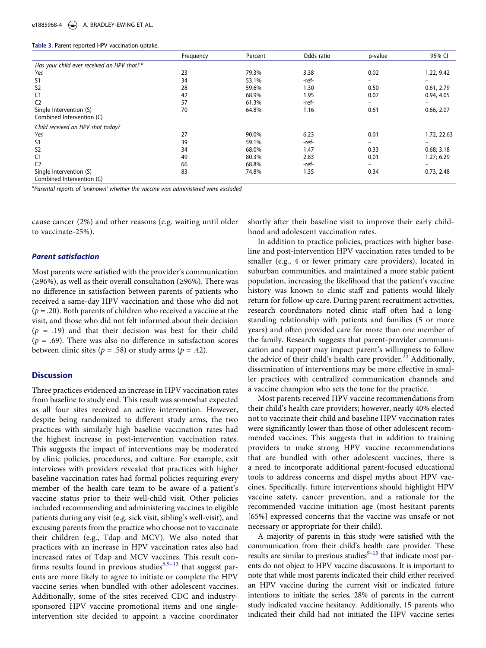<span id="page-6-0"></span>

|  |  |  |  | Table 3. Parent reported HPV vaccination uptake. |  |
|--|--|--|--|--------------------------------------------------|--|
|--|--|--|--|--------------------------------------------------|--|

|                                                        | Frequency | Percent | Odds ratio | p-value                      | 95% CI      |
|--------------------------------------------------------|-----------|---------|------------|------------------------------|-------------|
| Has your child ever received an HPV shot? <sup>a</sup> |           |         |            |                              |             |
| Yes                                                    | 23        | 79.3%   | 3.38       | 0.02                         | 1.22, 9.42  |
| S1                                                     | 34        | 53.1%   | -ref-      |                              |             |
| S <sub>2</sub>                                         | 28        | 59.6%   | 1.30       | 0.50                         | 0.61, 2.79  |
| C <sub>1</sub>                                         | 42        | 68.9%   | 1.95       | 0.07                         | 0.94, 4.05  |
| C <sub>2</sub>                                         | 57        | 61.3%   | -ref-      | -                            |             |
| Single Intervention (S)                                | 70        | 64.8%   | 1.16       | 0.61                         | 0.66, 2.07  |
| Combined Intervention (C)                              |           |         |            |                              |             |
| Child received an HPV shot today?                      |           |         |            |                              |             |
| Yes                                                    | 27        | 90.0%   | 6.23       | 0.01                         | 1.72, 22.63 |
| S <sub>1</sub>                                         | 39        | 59.1%   | -ref-      |                              |             |
| S <sub>2</sub>                                         | 34        | 68.0%   | 1.47       | 0.33                         | 0.68; 3.18  |
| C1                                                     | 49        | 80.3%   | 2.83       | 0.01                         | 1.27; 6.29  |
| C <sub>2</sub>                                         | 66        | 68.8%   | -ref-      | $\qquad \qquad \blacksquare$ | -           |
| Single Intervention (S)                                | 83        | 74.8%   | 1.35       | 0.34                         | 0.73, 2.48  |
| Combined Intervention (C)                              |           |         |            |                              |             |

*a Parental reports of 'unknown' whether the vaccine was administered were excluded*

cause cancer (2%) and other reasons (e.g. waiting until older to vaccinate-25%).

#### *Parent satisfaction*

Most parents were satisfied with the provider's communication (≥96%), as well as their overall consultation (≥96%). There was no difference in satisfaction between parents of patients who received a same-day HPV vaccination and those who did not (*p* = .20). Both parents of children who received a vaccine at the visit, and those who did not felt informed about their decision (*p* = .19) and that their decision was best for their child  $(p = .69)$ . There was also no difference in satisfaction scores between clinic sites ( $p = .58$ ) or study arms ( $p = .42$ ).

#### **Discussion**

Three practices evidenced an increase in HPV vaccination rates from baseline to study end. This result was somewhat expected as all four sites received an active intervention. However, despite being randomized to different study arms, the two practices with similarly high baseline vaccination rates had the highest increase in post-intervention vaccination rates. This suggests the impact of interventions may be moderated by clinic policies, procedures, and culture. For example, exit interviews with providers revealed that practices with higher baseline vaccination rates had formal policies requiring every member of the health care team to be aware of a patient's vaccine status prior to their well-child visit. Other policies included recommending and administering vaccines to eligible patients during any visit (e.g. sick visit, sibling's well-visit), and excusing parents from the practice who choose not to vaccinate their children (e.g., Tdap and MCV). We also noted that practices with an increase in HPV vaccination rates also had increased rates of Tdap and MCV vaccines. This result con-firms results found in previous studies<sup>5,9-[13](#page-8-0)</sup> that suggest parents are more likely to agree to initiate or complete the HPV vaccine series when bundled with other adolescent vaccines. Additionally, some of the sites received CDC and industrysponsored HPV vaccine promotional items and one singleintervention site decided to appoint a vaccine coordinator

shortly after their baseline visit to improve their early childhood and adolescent vaccination rates.

In addition to practice policies, practices with higher baseline and post-intervention HPV vaccination rates tended to be smaller (e.g., 4 or fewer primary care providers), located in suburban communities, and maintained a more stable patient population, increasing the likelihood that the patient's vaccine history was known to clinic staff and patients would likely return for follow-up care. During parent recruitment activities, research coordinators noted clinic staff often had a longstanding relationship with patients and families (5 or more years) and often provided care for more than one member of the family. Research suggests that parent-provider communication and rapport may impact parent's willingness to follow the advice of their child's health care provider.<sup>23</sup> Additionally, dissemination of interventions may be more effective in smaller practices with centralized communication channels and a vaccine champion who sets the tone for the practice.

<span id="page-6-2"></span>Most parents received HPV vaccine recommendations from their child's health care providers; however, nearly 40% elected not to vaccinate their child and baseline HPV vaccination rates were significantly lower than those of other adolescent recommended vaccines. This suggests that in addition to training providers to make strong HPV vaccine recommendations that are bundled with other adolescent vaccines, there is a need to incorporate additional parent-focused educational tools to address concerns and dispel myths about HPV vaccines. Specifically, future interventions should highlight HPV vaccine safety, cancer prevention, and a rationale for the recommended vaccine initiation age (most hesitant parents [65%] expressed concerns that the vaccine was unsafe or not necessary or appropriate for their child).

<span id="page-6-1"></span>A majority of parents in this study were satisfied with the communication from their child's health care provider. These results are similar to previous studies $9-13$  $9-13$  that indicate most parents do not object to HPV vaccine discussions. It is important to note that while most parents indicated their child either received an HPV vaccine during the current visit or indicated future intentions to initiate the series, 28% of parents in the current study indicated vaccine hesitancy. Additionally, 15 parents who indicated their child had not initiated the HPV vaccine series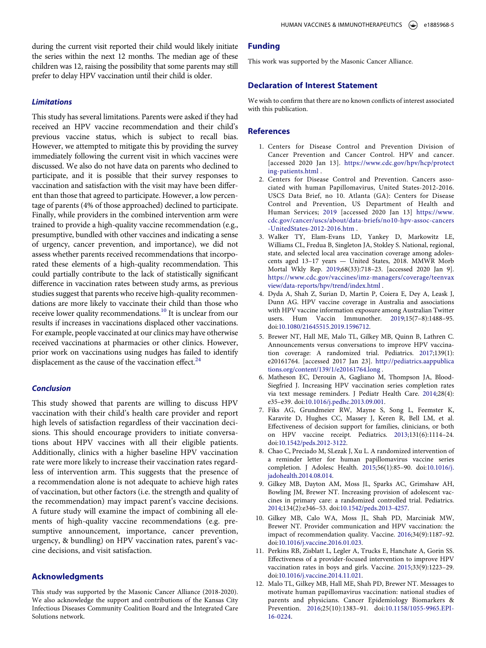during the current visit reported their child would likely initiate the series within the next 12 months. The median age of these children was 12, raising the possibility that some parents may still prefer to delay HPV vaccination until their child is older.

#### *Limitations*

This study has several limitations. Parents were asked if they had received an HPV vaccine recommendation and their child's previous vaccine status, which is subject to recall bias. However, we attempted to mitigate this by providing the survey immediately following the current visit in which vaccines were discussed. We also do not have data on parents who declined to participate, and it is possible that their survey responses to vaccination and satisfaction with the visit may have been different than those that agreed to participate. However, a low percentage of parents (4% of those approached) declined to participate. Finally, while providers in the combined intervention arm were trained to provide a high-quality vaccine recommendation (e.g., presumptive, bundled with other vaccines and indicating a sense of urgency, cancer prevention, and importance), we did not assess whether parents received recommendations that incorporated these elements of a high-quality recommendation. This could partially contribute to the lack of statistically significant difference in vaccination rates between study arms, as previous studies suggest that parents who receive high-quality recommendations are more likely to vaccinate their child than those who receive lower quality recommendations.<sup>10</sup> It is unclear from our results if increases in vaccinations displaced other vaccinations. For example, people vaccinated at our clinics may have otherwise received vaccinations at pharmacies or other clinics. However, prior work on vaccinations using nudges has failed to identify displacement as the cause of the vaccination effect. $24$ 

#### <span id="page-7-7"></span>*Conclusion*

This study showed that parents are willing to discuss HPV vaccination with their child's health care provider and report high levels of satisfaction regardless of their vaccination decisions. This should encourage providers to initiate conversations about HPV vaccines with all their eligible patients. Additionally, clinics with a higher baseline HPV vaccination rate were more likely to increase their vaccination rates regardless of intervention arm. This suggests that the presence of a recommendation alone is not adequate to achieve high rates of vaccination, but other factors (i.e. the strength and quality of the recommendation) may impact parent's vaccine decisions. A future study will examine the impact of combining all elements of high-quality vaccine recommendations (e.g. presumptive announcement, importance, cancer prevention, urgency, & bundling) on HPV vaccination rates, parent's vaccine decisions, and visit satisfaction.

# **Acknowledgments**

This study was supported by the Masonic Cancer Alliance (2018-2020). We also acknowledge the support and contributions of the Kansas City Infectious Diseases Community Coalition Board and the Integrated Care Solutions network.

#### **Funding**

This work was supported by the Masonic Cancer Alliance.

# **Declaration of Interest Statement**

We wish to confirm that there are no known conflicts of interest associated with this publication.

#### **References**

- <span id="page-7-0"></span>1. Centers for Disease Control and Prevention Division of Cancer Prevention and Cancer Control. HPV and cancer. [accessed 2020 Jan 13]. [https://www.cdc.gov/hpv/hcp/protect](https://www.cdc.gov/hpv/hcp/protecting-patients.html) [ing-patients.html](https://www.cdc.gov/hpv/hcp/protecting-patients.html) .
- <span id="page-7-1"></span>2. Centers for Disease Control and Prevention. Cancers associated with human Papillomavirus, United States-2012-2016. USCS Data Brief, no 10. Atlanta (GA): Centers for Disease Control and Prevention, US Department of Health and Human Services; [2019](#page-3-4) [accessed 2020 Jan 13] [https://www.](https://www.cdc.gov/cancer/uscs/about/data-briefs/no10-hpv-assoc-cancers-UnitedStates-2012-2016.htm) [cdc.gov/cancer/uscs/about/data-briefs/no10-hpv-assoc-cancers](https://www.cdc.gov/cancer/uscs/about/data-briefs/no10-hpv-assoc-cancers-UnitedStates-2012-2016.htm) [-UnitedStates-2012-2016.htm](https://www.cdc.gov/cancer/uscs/about/data-briefs/no10-hpv-assoc-cancers-UnitedStates-2012-2016.htm) .
- <span id="page-7-2"></span>3. Walker TY, Elam-Evans LD, Yankey D, Markowitz LE, Williams CL, Fredua B, Singleton JA, Stokley S. National, regional, state, and selected local area vaccination coverage among adolescents aged 13–17 years — United States, 2018. MMWR Morb Mortal Wkly Rep. [2019](#page-3-5);68(33):718–23. [accessed 2020 Jan 9]. [https://www.cdc.gov/vaccines/imz-managers/coverage/teenvax](https://www.cdc.gov/vaccines/imz-managers/coverage/teenvaxview/data-reports/hpv/trend/index.html) [view/data-reports/hpv/trend/index.html](https://www.cdc.gov/vaccines/imz-managers/coverage/teenvaxview/data-reports/hpv/trend/index.html) .
- <span id="page-7-3"></span>4. Dyda A, Shah Z, Surian D, Martin P, Coiera E, Dey A, Leask J, Dunn AG. HPV vaccine coverage in Australia and associations with HPV vaccine information exposure among Australian Twitter users. Hum Vaccin Immunother. [2019;](#page-3-6)15(7–8):1488–95. doi:[10.1080/21645515.2019.1596712](https://doi.org/10.1080/21645515.2019.1596712).
- <span id="page-7-4"></span>5. Brewer NT, Hall ME, Malo TL, Gilkey MB, Quinn B, Lathren C. Announcements versus conversations to improve HPV vaccination coverage: A randomized trial. Pediatrics. [2017;](#page-3-7)139(1): e20161764. [accessed 2017 Jan 23]. [http://pediatrics.aappublica](http://pediatrics.aappublications.org/content/139/1/e20161764.long) [tions.org/content/139/1/e20161764.long](http://pediatrics.aappublications.org/content/139/1/e20161764.long) .
- 6. Matheson EC, Derouin A, Gagliano M, Thompson JA, Blood-Siegfried J. Increasing HPV vaccination series completion rates via text message reminders. J Pediatr Health Care. 2014;28(4): e35–e39. doi:[10.1016/j.pedhc.2013.09.001](https://doi.org/10.1016/j.pedhc.2013.09.001).
- 7. Fiks AG, Grundmeier RW, Mayne S, Song L, Feemster K, Karavite D, Hughes CC, Massey J, Keren R, Bell LM, et al. Effectiveness of decision support for families, clinicians, or both on HPV vaccine receipt. Pediatrics. 2013;131(6):1114–24. doi:[10.1542/peds.2012-3122.](https://doi.org/10.1542/peds.2012-3122)
- 8. Chao C, Preciado M, SLezak J, Xu L. A randomized intervention of a reminder letter for human papillomavirus vaccine series completion. J Adolesc Health. 2015;56(1):85–90. doi:[10.1016/j.](https://doi.org/10.1016/j.jadohealth.2014.08.014) [jadohealth.2014.08.014.](https://doi.org/10.1016/j.jadohealth.2014.08.014)
- <span id="page-7-6"></span>9. Gilkey MB, Dayton AM, Moss JL, Sparks AC, Grimshaw AH, Bowling JM, Brewer NT. Increasing provision of adolescent vaccines in primary care: a randomized controlled trial. Pediatrics. [2014;](#page-6-1)134(2):e346–53. doi:[10.1542/peds.2013-4257](https://doi.org/10.1542/peds.2013-4257).
- <span id="page-7-5"></span>10. Gilkey MB, Calo WA, Moss JL, Shah PD, Marciniak MW, Brewer NT. Provider communication and HPV vaccination: the impact of recommendation quality. Vaccine. [2016](#page-3-8);34(9):1187–92. doi:[10.1016/j.vaccine.2016.01.023.](https://doi.org/10.1016/j.vaccine.2016.01.023)
- 11. Perkins RB, Zisblatt L, Legler A, Trucks E, Hanchate A, Gorin SS. Effectiveness of a provider-focused intervention to improve HPV vaccination rates in boys and girls. Vaccine. 2015;33(9):1223–29. doi:[10.1016/j.vaccine.2014.11.021.](https://doi.org/10.1016/j.vaccine.2014.11.021)
- 12. Malo TL, Gilkey MB, Hall ME, Shah PD, Brewer NT. Messages to motivate human papillomavirus vaccination: national studies of parents and physicians. Cancer Epidemiology Biomarkers & Prevention. 2016;25(10):1383–91. doi:[10.1158/1055-9965.EPI-](https://doi.org/10.1158/1055-9965.EPI-16-0224)[16-0224.](https://doi.org/10.1158/1055-9965.EPI-16-0224)